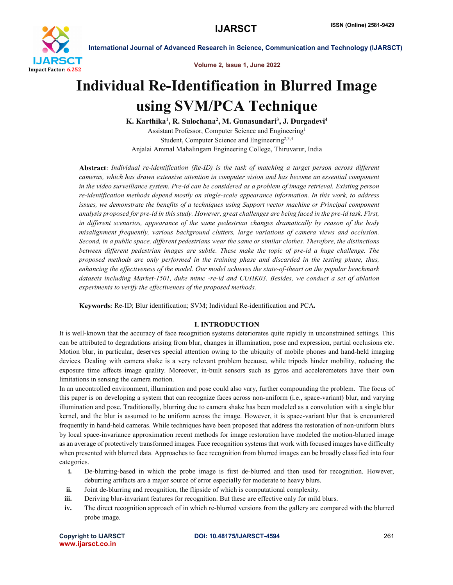

Volume 2, Issue 1, June 2022

# Individual Re-Identification in Blurred Image using SVM/PCA Technique

K. Karthika<sup>1</sup>, R. Sulochana<sup>2</sup>, M. Gunasundari<sup>3</sup>, J. Durgadevi<sup>4</sup> Assistant Professor, Computer Science and Engineering1 Student, Computer Science and Engineering<sup>2,3,4</sup> Anjalai Ammal Mahalingam Engineering College, Thiruvarur, India

*Individual re-identification (Re-ID) is the task of matching a target person across different cameras, which has drawn extensive attention in computer vision and has become an essential component in the video surveillance system. Pre-id can be considered as a problem of image retrieval. Existing person re-identification methods depend mostly on single-scale appearance information. In this work, to address issues, we demonstrate the benefits of a techniques using Support vector machine or Principal component analysis proposed for pre-id in this study. However, great challenges are being faced in the pre-id task. First, in different scenarios, appearance of the same pedestrian changes dramatically by reason of the body misalignment frequently, various background clutters, large variations of camera views and occlusion. Second, in a public space, different pedestrians wear the same or similar clothes. Therefore, the distinctions between different pedestrian images are subtle. These make the topic of pre-id a huge challenge. The proposed methods are only performed in the training phase and discarded in the testing phase, thus, enhancing the effectiveness of the model. Our model achieves the state-of-theart on the popular benchmark datasets including Market-1501, duke mtmc -re-id and CUHK03. Besides, we conduct a set of ablation experiments to verify the effectiveness of the proposed methods.*

Keywords: Re-ID; Blur identification; SVM; Individual Re-identification and PCA.

# **I. INTRODUCTION**

It is well-known that the accuracy of face recognition systems deteriorates quite rapidly in unconstrained settings. This can be attributed to degradations arising from blur, changes in illumination, pose and expression, partial occlusions etc. Motion blur, in particular, deserves special attention owing to the ubiquity of mobile phones and hand-held imaging devices. Dealing with camera shake is a very relevant problem because, while tripods hinder mobility, reducing the exposure time affects image quality. Moreover, in-built sensors such as gyros and accelerometers have their own limitations in sensing the camera motion.

In an uncontrolled environment, illumination and pose could also vary, further compounding the problem. The focus of this paper is on developing a system that can recognize faces across non-uniform (i.e., space-variant) blur, and varying illumination and pose. Traditionally, blurring due to camera shake has been modeled as a convolution with a single blur kernel, and the blur is assumed to be uniform across the image. However, it is space-variant blur that is encountered frequently in hand-held cameras. While techniques have been proposed that address the restoration of non-uniform blurs by local space-invariance approximation recent methods for image restoration have modeled the motion-blurred image as an average of protectively transformed images. Face recognition systems that work with focused images have difficulty when presented with blurred data. Approaches to face recognition from blurred images can be broadly classified into four categories.

- i. De-blurring-based in which the probe image is first de-blurred and then used for recognition. However, deburring artifacts are a major source of error especially for moderate to heavy blurs.
- ii. Joint de-blurring and recognition, the flipside of which is computational complexity.
- iii. Deriving blur-invariant features for recognition. But these are effective only for mild blurs.
- iv. The direct recognition approach of in which re-blurred versions from the gallery are compared with the blurred probe image.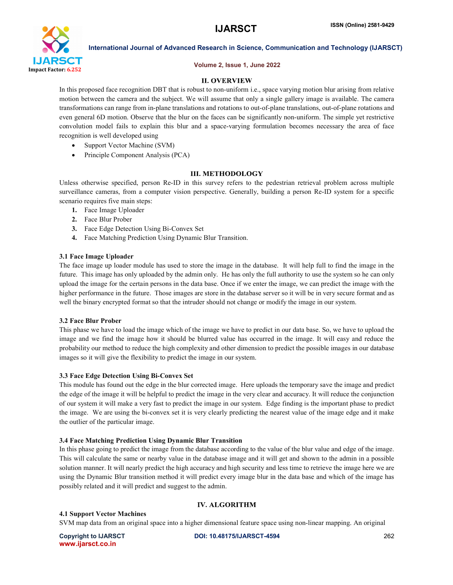

### Volume 2, Issue 1, June 2022

### **II. OVERVIEW**

In this proposed face recognition DBT that is robust to non-uniform i.e., space varying motion blur arising from relative motion between the camera and the subject. We will assume that only a single gallery image is available. The camera transformations can range from in-plane translations and rotations to out-of-plane translations, out-of-plane rotations and even general 6D motion. Observe that the blur on the faces can be significantly non-uniform. The simple yet restrictive convolution model fails to explain this blur and a space-varying formulation becomes necessary the area of face recognition is well developed using

- Support Vector Machine (SVM)
- Principle Component Analysis (PCA)

### **III. METHODOLOGY**

Unless otherwise specified, person Re-ID in this survey refers to the pedestrian retrieval problem across multiple surveillance cameras, from a computer vision perspective. Generally, building a person Re-ID system for a specific scenario requires five main steps:

- 1. Face Image Uploader
- 2. Face Blur Prober
- 3. Face Edge Detection Using Bi-Convex Set
- 4. Face Matching Prediction Using Dynamic Blur Transition.

### 3.1 Face Image Uploader

The face image up loader module has used to store the image in the database. It will help full to find the image in the future. This image has only uploaded by the admin only. He has only the full authority to use the system so he can only upload the image for the certain persons in the data base. Once if we enter the image, we can predict the image with the higher performance in the future. Those images are store in the database server so it will be in very secure format and as well the binary encrypted format so that the intruder should not change or modify the image in our system.

### 3.2 Face Blur Prober

This phase we have to load the image which of the image we have to predict in our data base. So, we have to upload the image and we find the image how it should be blurred value has occurred in the image. It will easy and reduce the probability our method to reduce the high complexity and other dimension to predict the possible images in our database images so it will give the flexibility to predict the image in our system.

### 3.3 Face Edge Detection Using Bi-Convex Set

This module has found out the edge in the blur corrected image. Here uploads the temporary save the image and predict the edge of the image it will be helpful to predict the image in the very clear and accuracy. It will reduce the conjunction of our system it will make a very fast to predict the image in our system. Edge finding is the important phase to predict the image. We are using the bi-convex set it is very clearly predicting the nearest value of the image edge and it make the outlier of the particular image.

### 3.4 Face Matching Prediction Using Dynamic Blur Transition

In this phase going to predict the image from the database according to the value of the blur value and edge of the image. This will calculate the same or nearby value in the database image and it will get and shown to the admin in a possible solution manner. It will nearly predict the high accuracy and high security and less time to retrieve the image here we are using the Dynamic Blur transition method it will predict every image blur in the data base and which of the image has possibly related and it will predict and suggest to the admin.

### **IV. ALGORITHM**

### 4.1 Support Vector Machines

SVM map data from an original space into a higher dimensional feature space using non-linear mapping. An original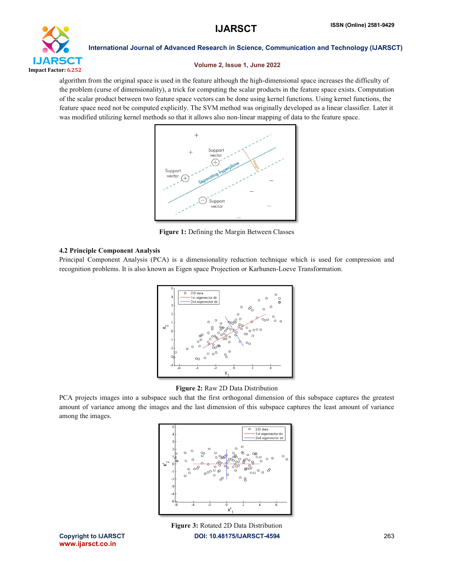

### Volume 2, Issue 1, June 2022

algorithm from the original space is used in the feature although the high-dimensional space increases the difficulty of the problem (curse of dimensionality), a trick for computing the scalar products in the feature space exists. Computation of the scalar product between two feature space vectors can be done using kernel functions. Using kernel functions, the feature space need not be computed explicitly. The SVM method was originally developed as a linear classifier. Later it was modified utilizing kernel methods so that it allows also non-linear mapping of data to the feature space.



Figure 1: Defining the Margin Between Classes

# 4.2 Principle Component Analysis

Principal Component Analysis (PCA) is a dimensionality reduction technique which is used for compression and recognition problems. It is also known as Eigen space Projection or Karhunen-Loeve Transformation.



Figure 2: Raw 2D Data Distribution

PCA projects images into a subspace such that the first orthogonal dimension of this subspace captures the greatest amount of variance among the images and the last dimension of this subspace captures the least amount of variance among the images.



Copyright to IJARSCT **DOI: 10.48175/IJARSCT-4594** 263 Figure 3: Rotated 2D Data Distribution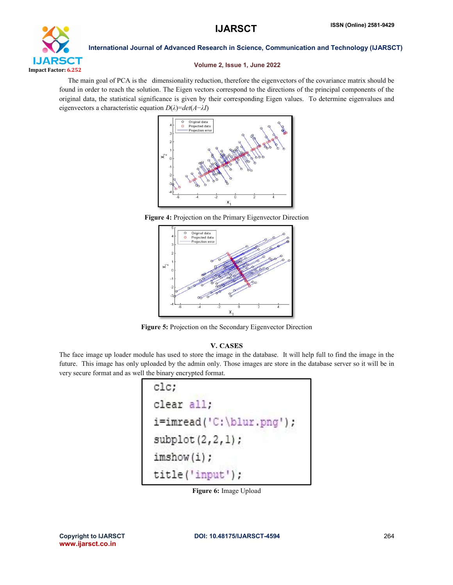

# Volume 2, Issue 1, June 2022

 The main goal of PCA is the dimensionality reduction, therefore the eigenvectors of the covariance matrix should be found in order to reach the solution. The Eigen vectors correspond to the directions of the principal components of the original data, the statistical significance is given by their corresponding Eigen values. To determine eigenvalues and eigenvectors a characteristic equation *D*(*λ*)=*det*(*A*−*λI*)



Figure 4: Projection on the Primary Eigenvector Direction



Figure 5: Projection on the Secondary Eigenvector Direction

# **V. CASES**

The face image up loader module has used to store the image in the database. It will help full to find the image in the future. This image has only uploaded by the admin only. Those images are store in the database server so it will be in very secure format and as well the binary encrypted format.

| $_{\textrm{clc}}$                            |  |
|----------------------------------------------|--|
| clear all;                                   |  |
| $i = \text{imread}('C:\\blue{:} \text{png'}$ |  |
| $\text{subplot}(2,2,1);$                     |  |
| imshow(i):                                   |  |
| title('input');                              |  |

Figure 6: Image Upload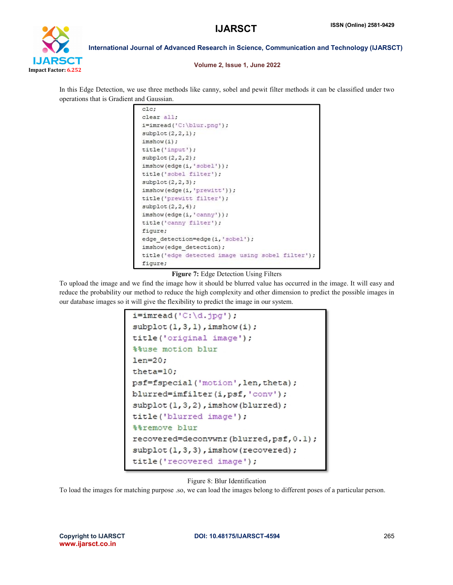

### Volume 2, Issue 1, June 2022

In this Edge Detection, we use three methods like canny, sobel and pewit filter methods it can be classified under two operations that is Gradient and Gaussian.

```
clc;
clear all;
i = \text{imread}('C:\blur.png');\text{subplot}(2,2,1);
imshow(i);
title('input');
\text{subplot}(2,2,2);imshow(edge(i,'sobel'));
title('sobel filter');
\text{subplot}(2,2,3);imshow(edge(i,'prewitt'));
title('prewitt filter');
\text{subplot}(2,2,4);imshow(edge(i,'canny'));
title('canny filter');
figure;
edge_detection=edge(i,'sobel');
imshow(edge detection);
title('edge detected image using sobel filter');
fiqure;
```
# Figure 7: Edge Detection Using Filters

To upload the image and we find the image how it should be blurred value has occurred in the image. It will easy and reduce the probability our method to reduce the high complexity and other dimension to predict the possible images in our database images so it will give the flexibility to predict the image in our system.

```
i = \text{imread}('C:\d{i}, \text{ipq}');\text{subplot}(1,3,1), imshow(i);
title('original image');
%%use motion blur
len=20;
theta=10;
psf=fspecial('motion', len, theta);
blurred=imfilter(i,psf,'conv');
subplot(1,3,2), imshow(blurred);
title('blurred image');
%%remove blur
recovered=deconvwnr(blurred, psf, 0.1);
subplot(1,3,3), imshow(recovered);
title('recovered image');
```
# Figure 8: Blur Identification

To load the images for matching purpose .so, we can load the images belong to different poses of a particular person.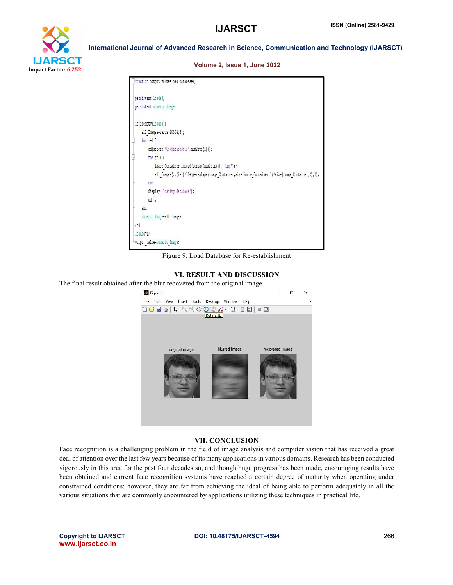

### Volume 2, Issue 1, June 2022

| - function output value=load database()                                                              |
|------------------------------------------------------------------------------------------------------|
| persistent loaded;                                                                                   |
| persistent numeric Image;                                                                            |
| if(isempty(loaded))                                                                                  |
| all Images=zeros(10304,3);                                                                           |
| Ē<br>for $i=1:3$                                                                                     |
| cd(strcat('C:\database\s',num2str(i)));                                                              |
| for $i=1:10$                                                                                         |
| image Container=imread(strcat(num2str(j),'.bmp'));                                                   |
| all Images(:,(i-l)*10+j)=reshape(image Container,size(image Container,1)*size(image Container,2),1); |
| end                                                                                                  |
| display('loading database');                                                                         |
| cd.                                                                                                  |
| end                                                                                                  |
| numeric Image=all Images;                                                                            |
| end                                                                                                  |
| loaded=1;                                                                                            |
| output value=numeric Image;                                                                          |

Figure 9: Load Database for Re-establishment

# VI. RESULT AND DISCUSSION

The final result obtained after the blur recovered from the original image

| Figure 1                                           |                 | ×            |
|----------------------------------------------------|-----------------|--------------|
| File Edit View Insert Tools Desktop Window<br>Help |                 | $\mathbf{v}$ |
| <b>ARROUA-BIEIE</b><br><b>Dels</b><br>Rotate 3D    |                 |              |
| blurred image<br>original image                    | recovered image |              |
|                                                    |                 |              |
|                                                    |                 |              |

### **VII. CONCLUSION**

Face recognition is a challenging problem in the field of image analysis and computer vision that has received a great deal of attention over the last few years because of its many applications in various domains. Research has been conducted vigorously in this area for the past four decades so, and though huge progress has been made, encouraging results have been obtained and current face recognition systems have reached a certain degree of maturity when operating under constrained conditions; however, they are far from achieving the ideal of being able to perform adequately in all the various situations that are commonly encountered by applications utilizing these techniques in practical life.